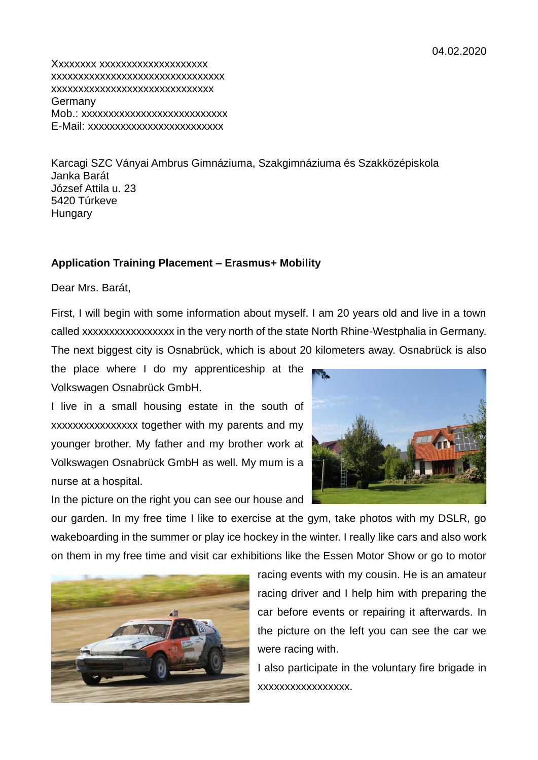Xxxxxxxx xxxxxxxxxxxxxxxxxxxx xxxxxxxxxxxxxxxxxxxxxxxxxxxxxxxx xxxxxxxxxxxxxxxxxxxxxxxxxxxxxx Germany Mob.: xxxxxxxxxxxxxxxxxxxxxxxxxxx E-Mail: xxxxxxxxxxxxxxxxxxxxxxxxx

Karcagi SZC Ványai Ambrus Gimnáziuma, Szakgimnáziuma és Szakközépiskola Janka Barát József Attila u. 23 5420 Túrkeve **Hungary** 

## **Application Training Placement – Erasmus+ Mobility**

Dear Mrs. Barát,

First, I will begin with some information about myself. I am 20 years old and live in a town called xxxxxxxxxxxxxxxxx in the very north of the state North Rhine-Westphalia in Germany. The next biggest city is Osnabrück, which is about 20 kilometers away. Osnabrück is also

the place where I do my apprenticeship at the Volkswagen Osnabrück GmbH.

I live in a small housing estate in the south of xxxxxxxxxxxxxxxx together with my parents and my younger brother. My father and my brother work at Volkswagen Osnabrück GmbH as well. My mum is a nurse at a hospital.

In the picture on the right you can see our house and



our garden. In my free time I like to exercise at the gym, take photos with my DSLR, go wakeboarding in the summer or play ice hockey in the winter. I really like cars and also work on them in my free time and visit car exhibitions like the Essen Motor Show or go to motor



racing events with my cousin. He is an amateur racing driver and I help him with preparing the car before events or repairing it afterwards. In the picture on the left you can see the car we were racing with.

I also participate in the voluntary fire brigade in xxxxxxxxxxxxxxxxx.